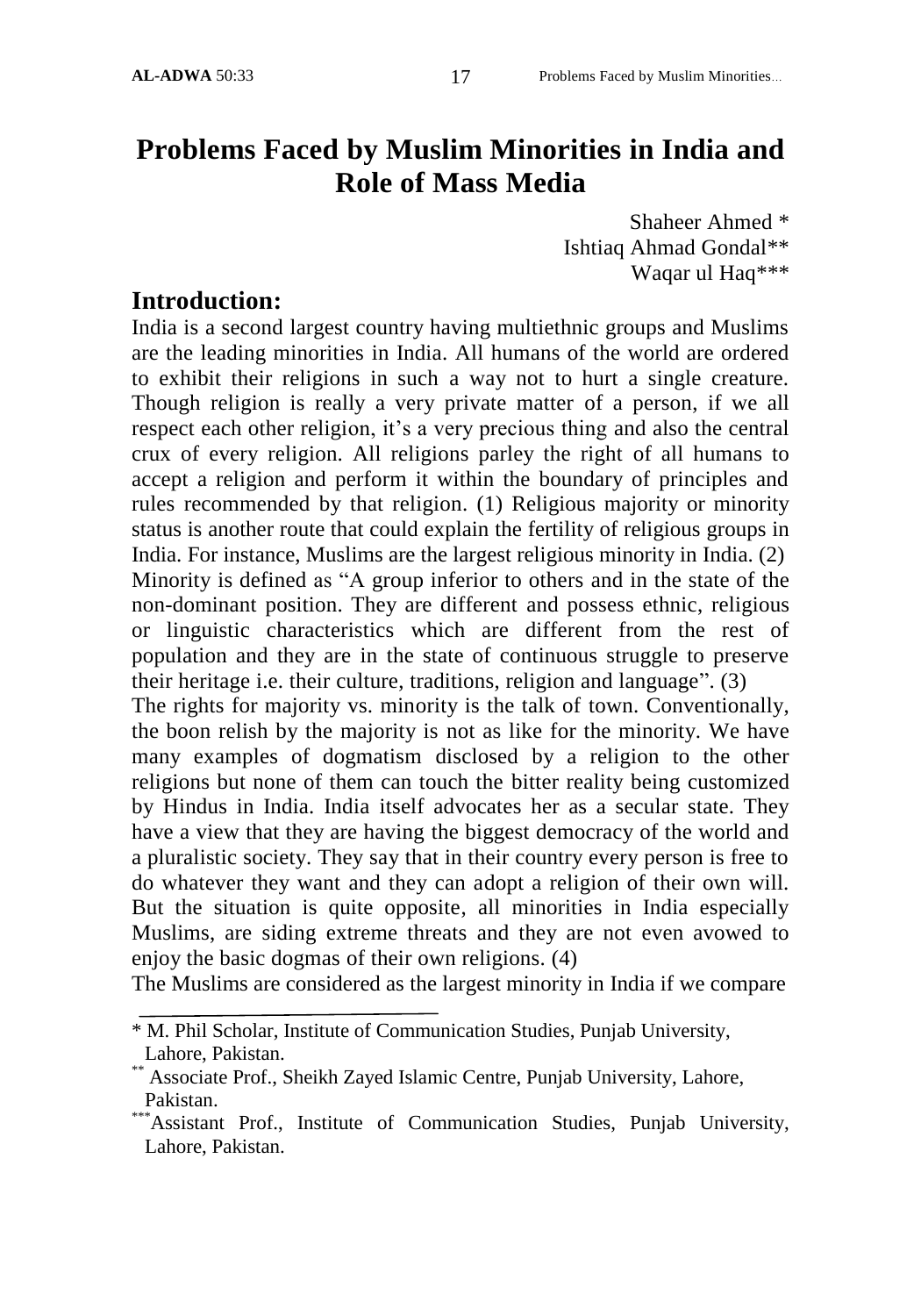# **Problems Faced by Muslim Minorities in India and Role of Mass Media**

Shaheer Ahmed \* Ishtiaq Ahmad Gondal\*\* Waqar ul Haq\*\*\*

### **Introduction:**

India is a second largest country having multiethnic groups and Muslims are the leading minorities in India. All humans of the world are ordered to exhibit their religions in such a way not to hurt a single creature. Though religion is really a very private matter of a person, if we all respect each other religion, it's a very precious thing and also the central crux of every religion. All religions parley the right of all humans to accept a religion and perform it within the boundary of principles and rules recommended by that religion. (1) Religious majority or minority status is another route that could explain the fertility of religious groups in India. For instance, Muslims are the largest religious minority in India. (2) Minority is defined as "A group inferior to others and in the state of the non-dominant position. They are different and possess ethnic, religious or linguistic characteristics which are different from the rest of population and they are in the state of continuous struggle to preserve their heritage i.e. their culture, traditions, religion and language". (3)

The rights for majority vs. minority is the talk of town. Conventionally, the boon relish by the majority is not as like for the minority. We have many examples of dogmatism disclosed by a religion to the other religions but none of them can touch the bitter reality being customized by Hindus in India. India itself advocates her as a secular state. They have a view that they are having the biggest democracy of the world and a pluralistic society. They say that in their country every person is free to do whatever they want and they can adopt a religion of their own will. But the situation is quite opposite, all minorities in India especially Muslims, are siding extreme threats and they are not even avowed to enjoy the basic dogmas of their own religions. (4)

The Muslims are considered as the largest minority in India if we compare

<sup>\*</sup> M. Phil Scholar, Institute of Communication Studies, Punjab University, Lahore, Pakistan.

<sup>\*\*</sup> Associate Prof., Sheikh Zayed Islamic Centre, Punjab University, Lahore, Pakistan.

<sup>\*\*\*</sup>Assistant Prof., Institute of Communication Studies, Punjab University, Lahore, Pakistan.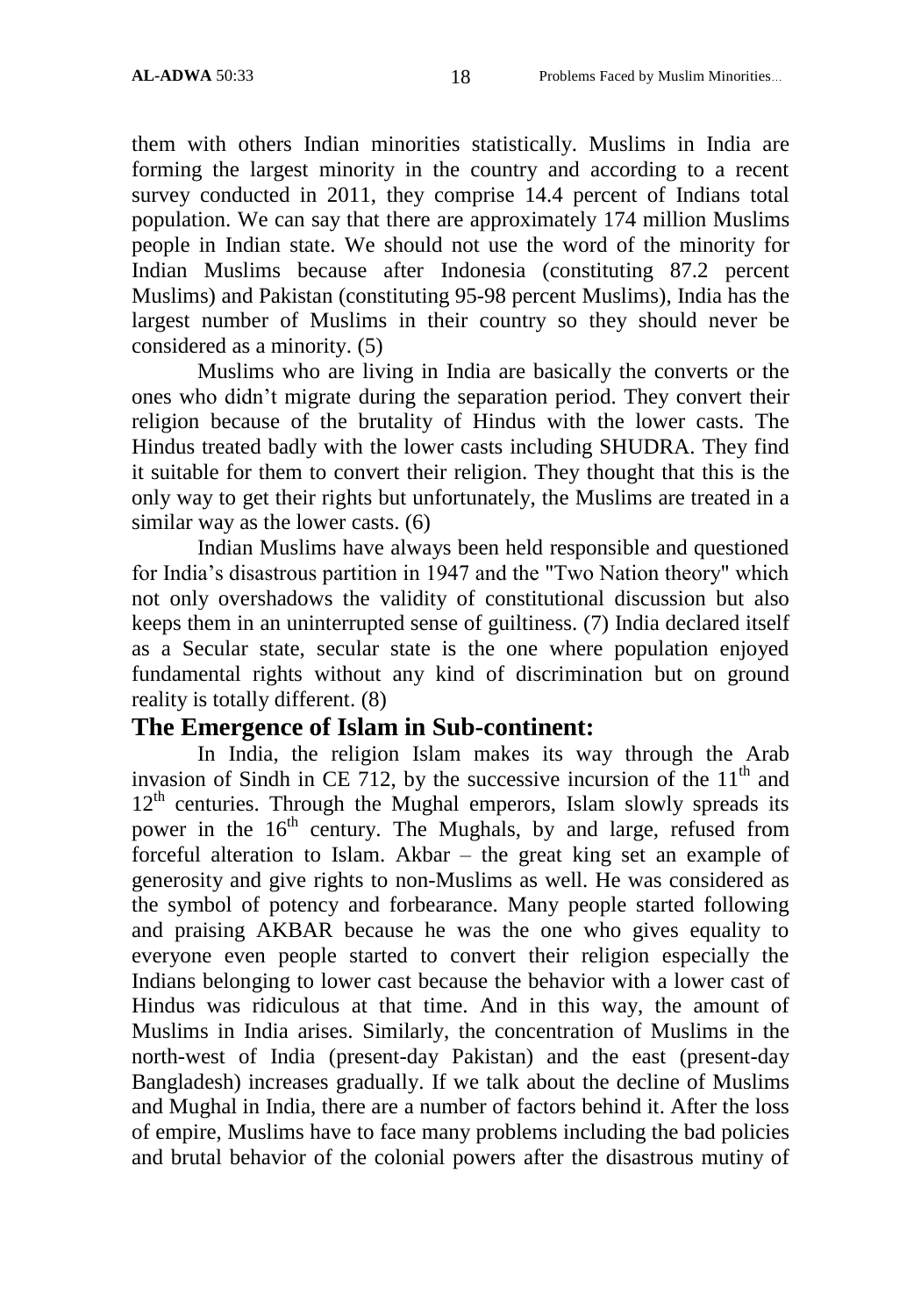them with others Indian minorities statistically. Muslims in India are forming the largest minority in the country and according to a recent survey conducted in 2011, they comprise 14.4 percent of Indians total population. We can say that there are approximately 174 million Muslims people in Indian state. We should not use the word of the minority for Indian Muslims because after Indonesia (constituting 87.2 percent Muslims) and Pakistan (constituting 95-98 percent Muslims), India has the largest number of Muslims in their country so they should never be considered as a minority. (5)

Muslims who are living in India are basically the converts or the ones who didn"t migrate during the separation period. They convert their religion because of the brutality of Hindus with the lower casts. The Hindus treated badly with the lower casts including SHUDRA. They find it suitable for them to convert their religion. They thought that this is the only way to get their rights but unfortunately, the Muslims are treated in a similar way as the lower casts. (6)

Indian Muslims have always been held responsible and questioned for India"s disastrous partition in 1947 and the "Two Nation theory" which not only overshadows the validity of constitutional discussion but also keeps them in an uninterrupted sense of guiltiness. (7) India declared itself as a Secular state, secular state is the one where population enjoyed fundamental rights without any kind of discrimination but on ground reality is totally different. (8)

#### **The Emergence of Islam in Sub-continent:**

In India, the religion Islam makes its way through the Arab invasion of Sindh in CE 712, by the successive incursion of the  $11<sup>th</sup>$  and  $12<sup>th</sup>$  centuries. Through the Mughal emperors, Islam slowly spreads its power in the  $16<sup>th</sup>$  century. The Mughals, by and large, refused from forceful alteration to Islam. Akbar – the great king set an example of generosity and give rights to non-Muslims as well. He was considered as the symbol of potency and forbearance. Many people started following and praising AKBAR because he was the one who gives equality to everyone even people started to convert their religion especially the Indians belonging to lower cast because the behavior with a lower cast of Hindus was ridiculous at that time. And in this way, the amount of Muslims in India arises. Similarly, the concentration of Muslims in the north-west of India (present-day Pakistan) and the east (present-day Bangladesh) increases gradually. If we talk about the decline of Muslims and Mughal in India, there are a number of factors behind it. After the loss of empire, Muslims have to face many problems including the bad policies and brutal behavior of the colonial powers after the disastrous mutiny of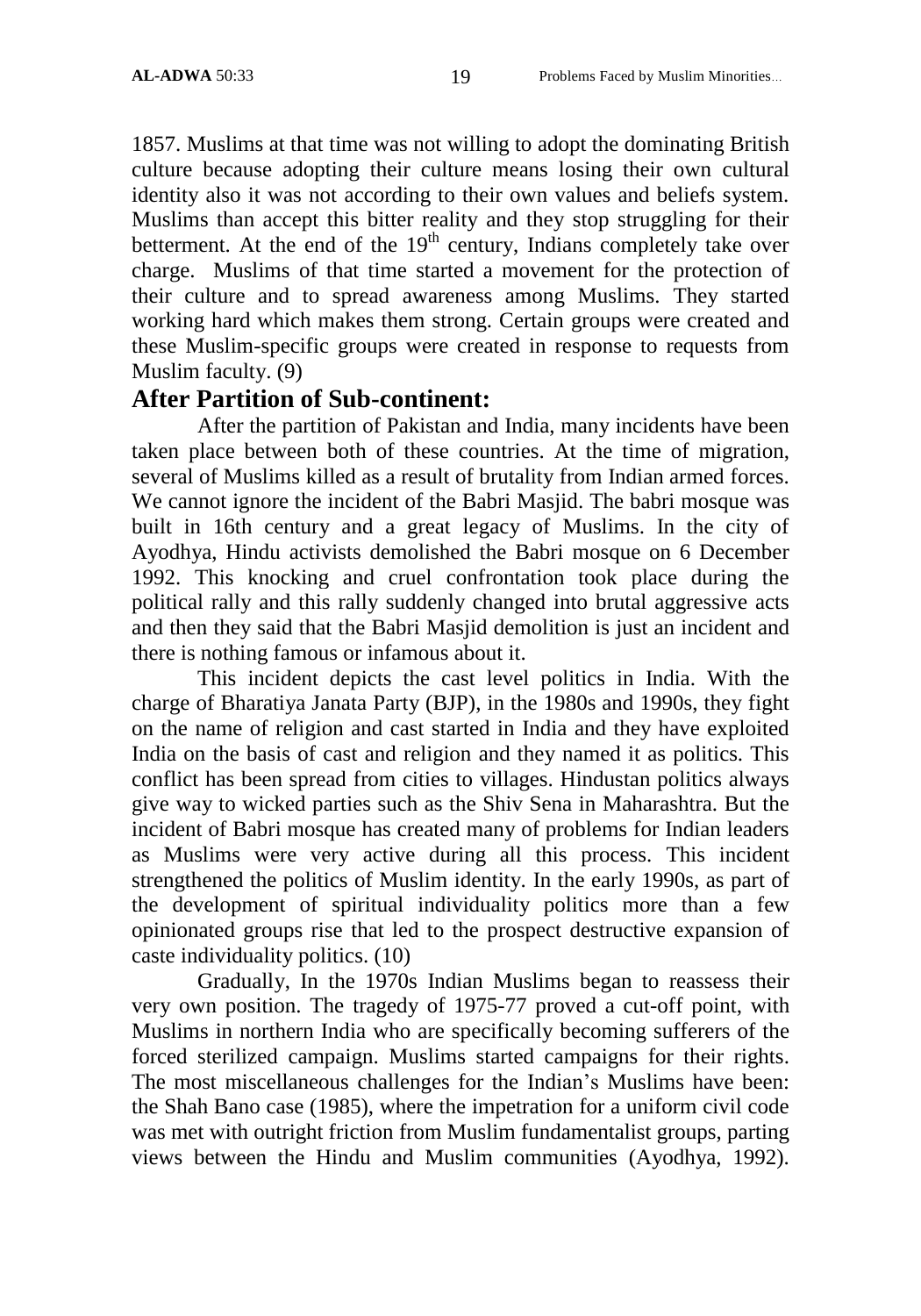1857. Muslims at that time was not willing to adopt the dominating British culture because adopting their culture means losing their own cultural identity also it was not according to their own values and beliefs system. Muslims than accept this bitter reality and they stop struggling for their betterment. At the end of the  $19<sup>th</sup>$  century, Indians completely take over charge. Muslims of that time started a movement for the protection of their culture and to spread awareness among Muslims. They started working hard which makes them strong. Certain groups were created and these Muslim-specific groups were created in response to requests from Muslim faculty. (9)

## **After Partition of Sub-continent:**

After the partition of Pakistan and India, many incidents have been taken place between both of these countries. At the time of migration, several of Muslims killed as a result of brutality from Indian armed forces. We cannot ignore the incident of the Babri Masjid. The babri mosque was built in 16th century and a great legacy of Muslims. In the city of Ayodhya, Hindu activists demolished the Babri mosque on 6 December 1992. This knocking and cruel confrontation took place during the political rally and this rally suddenly changed into brutal aggressive acts and then they said that the Babri Masjid demolition is just an incident and there is nothing famous or infamous about it.

This incident depicts the cast level politics in India. With the charge of Bharatiya Janata Party (BJP), in the 1980s and 1990s, they fight on the name of religion and cast started in India and they have exploited India on the basis of cast and religion and they named it as politics. This conflict has been spread from cities to villages. Hindustan politics always give way to wicked parties such as the Shiv Sena in Maharashtra. But the incident of Babri mosque has created many of problems for Indian leaders as Muslims were very active during all this process. This incident strengthened the politics of Muslim identity. In the early 1990s, as part of the development of spiritual individuality politics more than a few opinionated groups rise that led to the prospect destructive expansion of caste individuality politics. (10)

Gradually, In the 1970s Indian Muslims began to reassess their very own position. The tragedy of 1975-77 proved a cut-off point, with Muslims in northern India who are specifically becoming sufferers of the forced sterilized campaign. Muslims started campaigns for their rights. The most miscellaneous challenges for the Indian"s Muslims have been: the Shah Bano case (1985), where the impetration for a uniform civil code was met with outright friction from Muslim fundamentalist groups, parting views between the Hindu and Muslim communities (Ayodhya, 1992).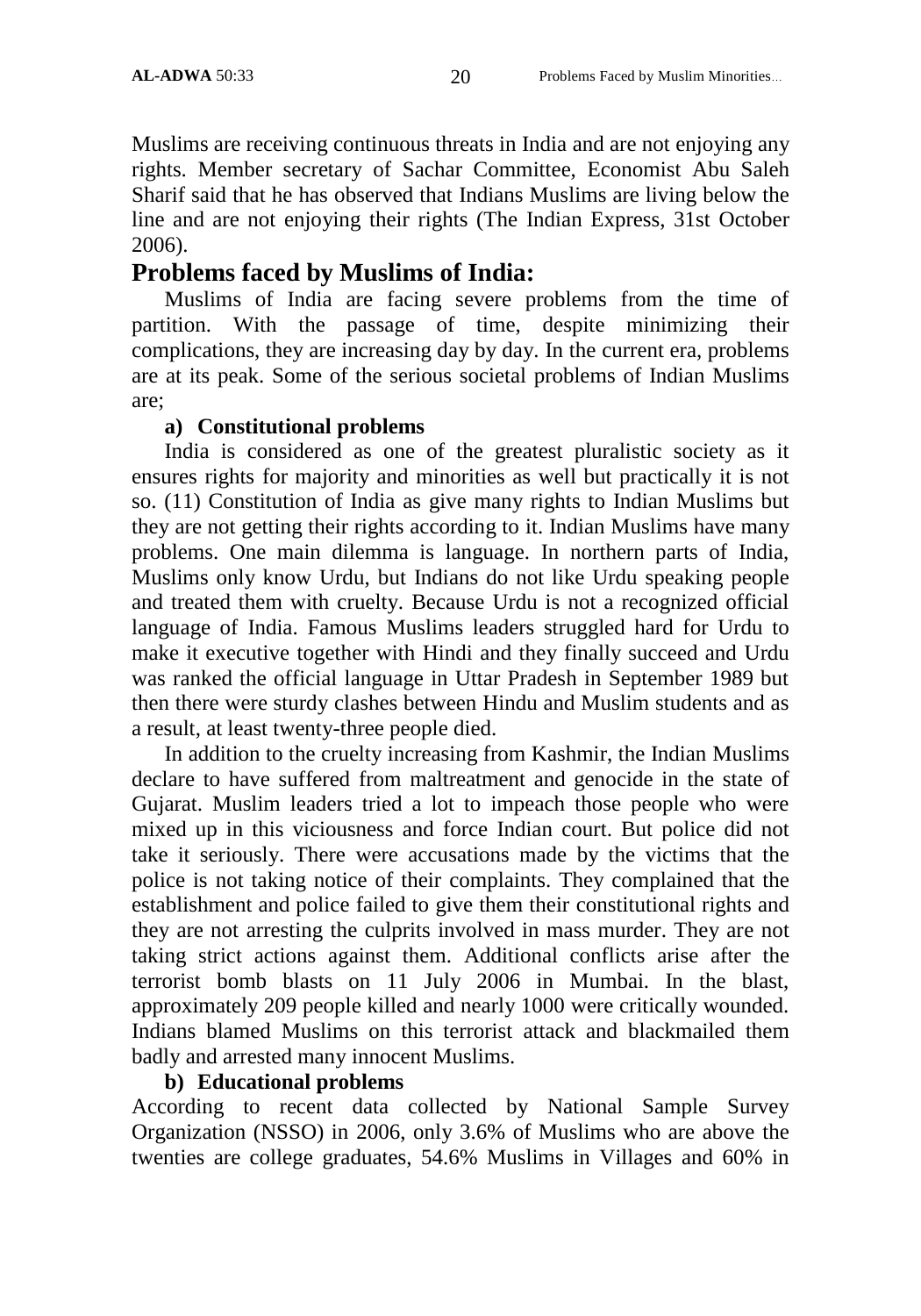Muslims are receiving continuous threats in India and are not enjoying any rights. Member secretary of Sachar Committee, Economist Abu Saleh Sharif said that he has observed that Indians Muslims are living below the line and are not enjoying their rights (The Indian Express, 31st October 2006).

## **Problems faced by Muslims of India:**

Muslims of India are facing severe problems from the time of partition. With the passage of time, despite minimizing their complications, they are increasing day by day. In the current era, problems are at its peak. Some of the serious societal problems of Indian Muslims are;

### **a) Constitutional problems**

India is considered as one of the greatest pluralistic society as it ensures rights for majority and minorities as well but practically it is not so. (11) Constitution of India as give many rights to Indian Muslims but they are not getting their rights according to it. Indian Muslims have many problems. One main dilemma is language. In northern parts of India, Muslims only know Urdu, but Indians do not like Urdu speaking people and treated them with cruelty. Because Urdu is not a recognized official language of India. Famous Muslims leaders struggled hard for Urdu to make it executive together with Hindi and they finally succeed and Urdu was ranked the official language in Uttar Pradesh in September 1989 but then there were sturdy clashes between Hindu and Muslim students and as a result, at least twenty-three people died.

In addition to the cruelty increasing from Kashmir, the Indian Muslims declare to have suffered from maltreatment and genocide in the state of Gujarat. Muslim leaders tried a lot to impeach those people who were mixed up in this viciousness and force Indian court. But police did not take it seriously. There were accusations made by the victims that the police is not taking notice of their complaints. They complained that the establishment and police failed to give them their constitutional rights and they are not arresting the culprits involved in mass murder. They are not taking strict actions against them. Additional conflicts arise after the terrorist bomb blasts on 11 July 2006 in Mumbai. In the blast, approximately 209 people killed and nearly 1000 were critically wounded. Indians blamed Muslims on this terrorist attack and blackmailed them badly and arrested many innocent Muslims.

### **b) Educational problems**

According to recent data collected by National Sample Survey Organization (NSSO) in 2006, only 3.6% of Muslims who are above the twenties are college graduates, 54.6% Muslims in Villages and 60% in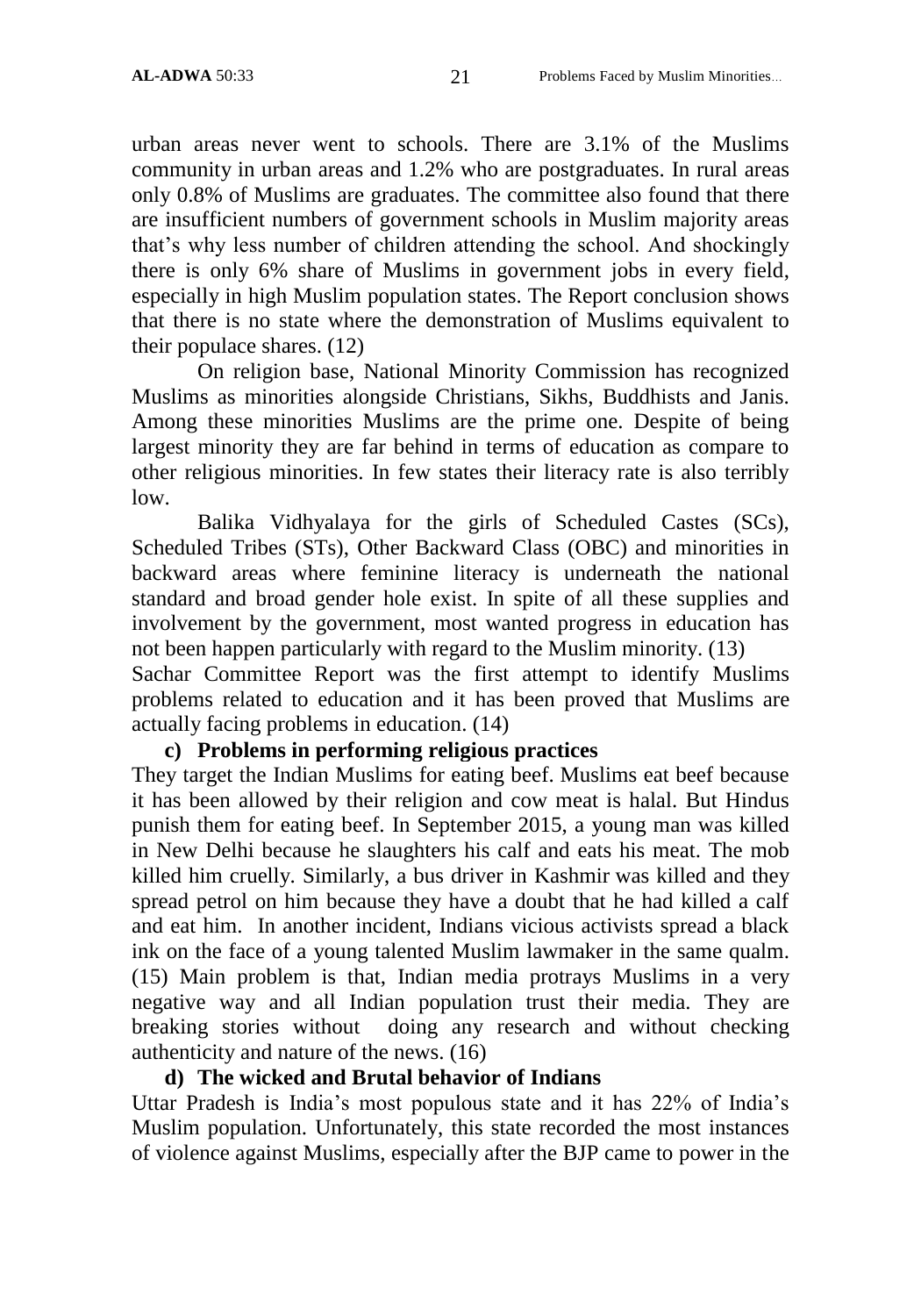urban areas never went to schools. There are 3.1% of the Muslims community in urban areas and 1.2% who are postgraduates. In rural areas only 0.8% of Muslims are graduates. The committee also found that there are insufficient numbers of government schools in Muslim majority areas that"s why less number of children attending the school. And shockingly there is only 6% share of Muslims in government jobs in every field, especially in high Muslim population states. The Report conclusion shows that there is no state where the demonstration of Muslims equivalent to their populace shares. (12)

On religion base, National Minority Commission has recognized Muslims as minorities alongside Christians, Sikhs, Buddhists and Janis. Among these minorities Muslims are the prime one. Despite of being largest minority they are far behind in terms of education as compare to other religious minorities. In few states their literacy rate is also terribly low.

Balika Vidhyalaya for the girls of Scheduled Castes (SCs), Scheduled Tribes (STs), Other Backward Class (OBC) and minorities in backward areas where feminine literacy is underneath the national standard and broad gender hole exist. In spite of all these supplies and involvement by the government, most wanted progress in education has not been happen particularly with regard to the Muslim minority. (13)

Sachar Committee Report was the first attempt to identify Muslims problems related to education and it has been proved that Muslims are actually facing problems in education. (14)

#### **c) Problems in performing religious practices**

They target the Indian Muslims for eating beef. Muslims eat beef because it has been allowed by their religion and cow meat is halal. But Hindus punish them for eating beef. In September 2015, a young man was killed in New Delhi because he slaughters his calf and eats his meat. The mob killed him cruelly. Similarly, a bus driver in Kashmir [was killed and they](http://www.benarnews.org/english/news/bengali/Truck-Driver-Dies-10192015190654.html)  [spread petrol on him because they have a doubt that he had killed a calf](http://www.benarnews.org/english/news/bengali/Truck-Driver-Dies-10192015190654.html)  [and eat him. I](http://www.benarnews.org/english/news/bengali/Truck-Driver-Dies-10192015190654.html)n another incident, Indians vicious activists spread a black ink on the face of a young talented Muslim lawmaker in the same qualm. (15) Main problem is that, Indian media protrays Muslims in a very negative way and all Indian population trust their media. They are breaking stories without doing any research and without checking authenticity and nature of the news. (16)

#### **d) The wicked and Brutal behavior of Indians**

Uttar Pradesh is India"s most populous state and it has 22% of India"s Muslim population. Unfortunately, this state recorded the most instances of violence against Muslims, especially after the BJP came to power in the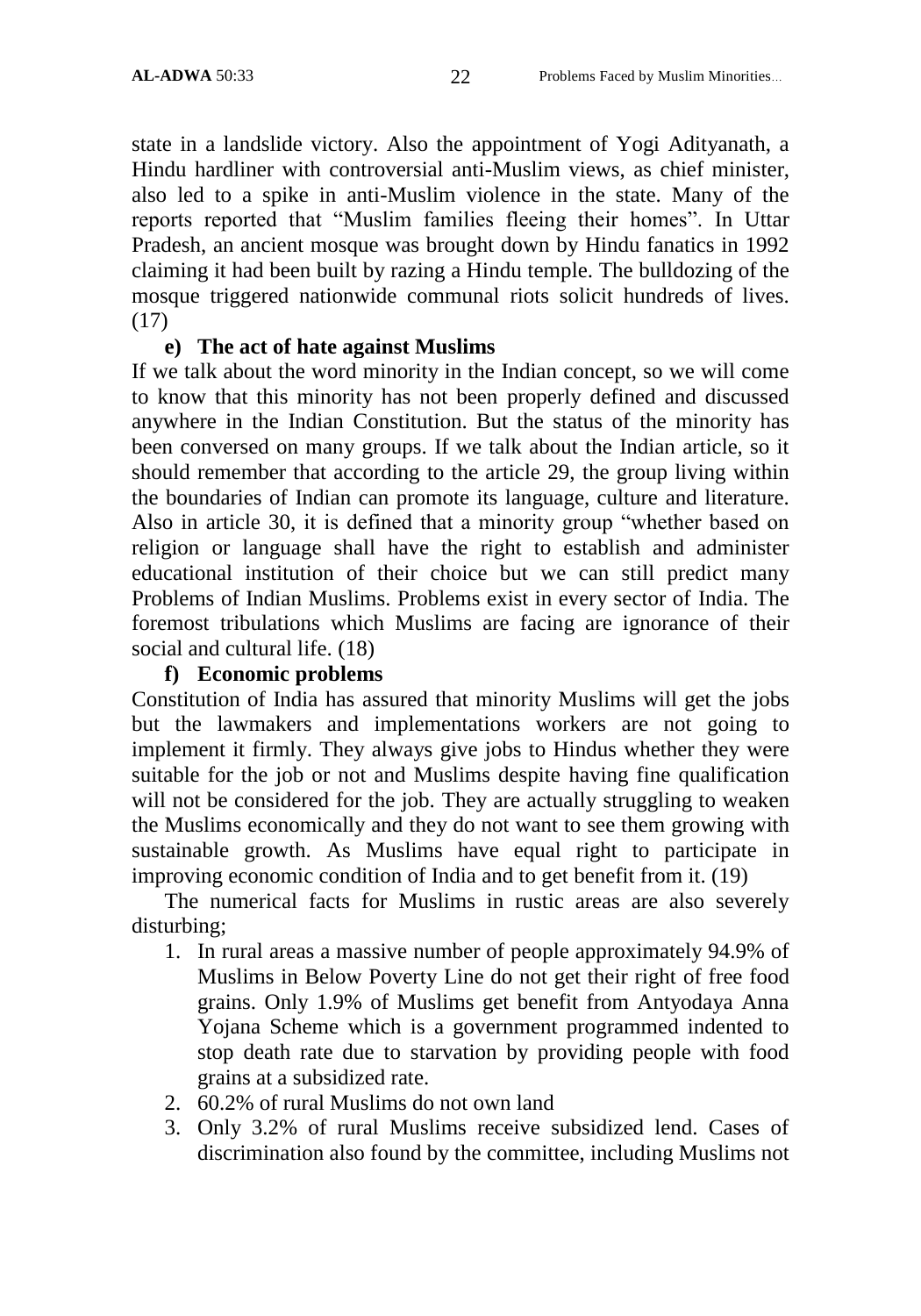state in a landslide victory. Also the appointment of Yogi Adityanath, a Hindu hardliner with controversial anti-Muslim views, as chief minister, also led to a spike in anti-Muslim violence in the state. Many of the reports reported that "Muslim families fleeing their homes". In Uttar Pradesh, an ancient mosque was brought down by Hindu fanatics in 1992 claiming it had been built by razing a Hindu temple. The bulldozing of the mosque triggered nationwide communal riots solicit hundreds of lives. (17)

#### **e) The act of hate against Muslims**

If we talk about the word minority in the Indian concept, so we will come to know that this minority has not been properly defined and discussed anywhere in the Indian Constitution. But the status of the minority has been conversed on many groups. If we talk about the Indian article, so it should remember that according to the article 29, the group living within the boundaries of Indian can promote its language, culture and literature. Also in article 30, it is defined that a minority group "whether based on religion or language shall have the right to establish and administer educational institution of their choice but we can still predict many Problems of Indian Muslims. Problems exist in every sector of India. The foremost tribulations which Muslims are facing are ignorance of their social and cultural life. (18)

#### **f) Economic problems**

Constitution of India has assured that minority Muslims will get the jobs but the lawmakers and implementations workers are not going to implement it firmly. They always give jobs to Hindus whether they were suitable for the job or not and Muslims despite having fine qualification will not be considered for the job. They are actually struggling to weaken the Muslims economically and they do not want to see them growing with sustainable growth. As Muslims have equal right to participate in improving economic condition of India and to get benefit from it. (19)

The numerical facts for Muslims in rustic areas are also severely disturbing;

- 1. In rural areas a massive number of people approximately 94.9% of Muslims in Below Poverty Line do not get their right of free food grains. Only 1.9% of Muslims get benefit from Antyodaya Anna Yojana Scheme which is a government programmed indented to stop death rate due to starvation by providing people with food grains at a subsidized rate.
- 2. 60.2% of rural Muslims do not own land
- 3. Only 3.2% of rural Muslims receive subsidized lend. Cases of discrimination also found by the committee, including Muslims not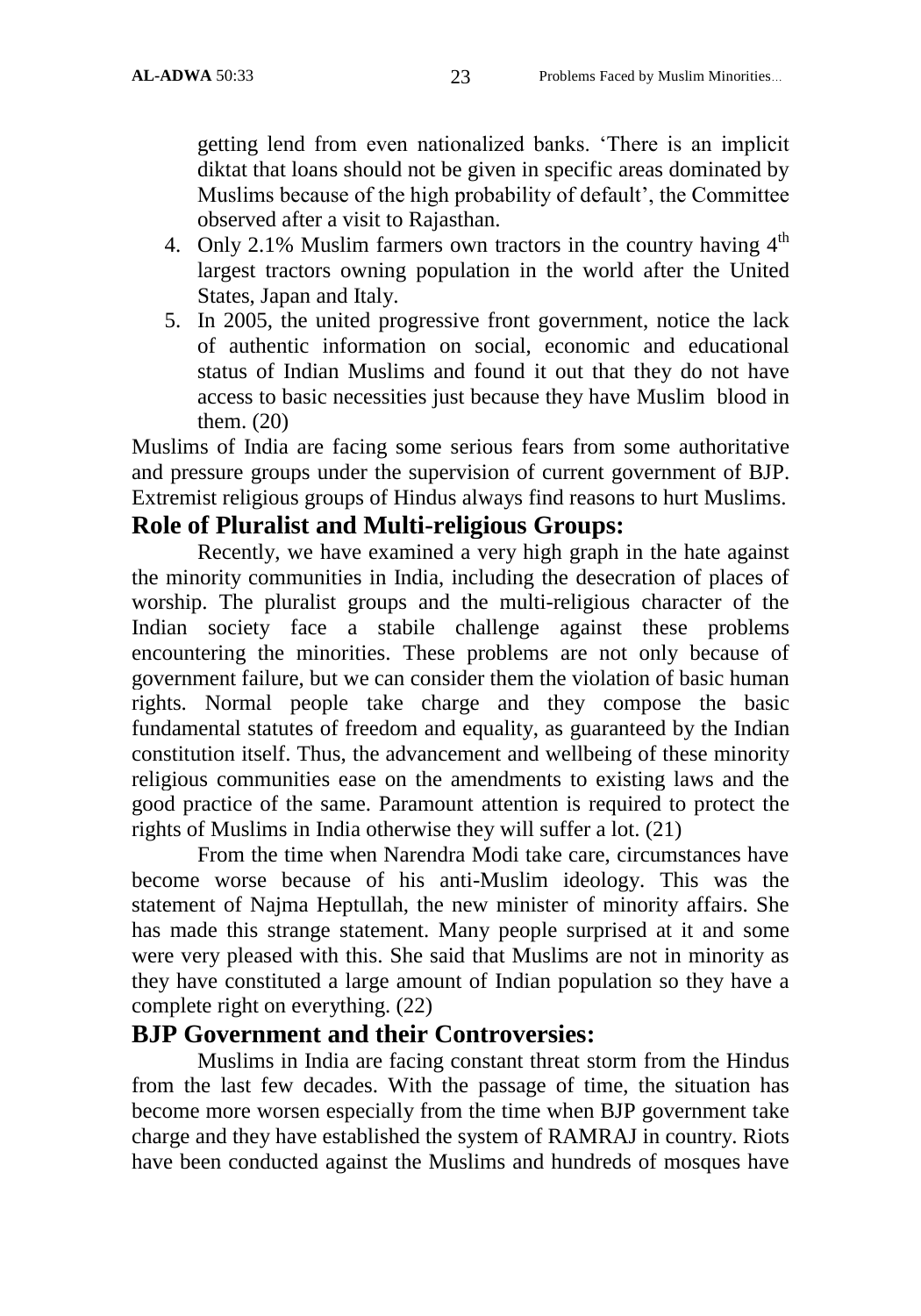getting lend from even nationalized banks. "There is an implicit diktat that loans should not be given in specific areas dominated by Muslims because of the high probability of default', the Committee observed after a visit to Rajasthan.

- 4. Only 2.1% Muslim farmers own tractors in the country having  $4<sup>th</sup>$ largest tractors owning population in the world after the United States, Japan and Italy.
- 5. In 2005, the united progressive front government, notice the lack of authentic information on social, economic and educational status of Indian Muslims and found it out that they do not have access to basic necessities just because they have Muslim blood in them. (20)

Muslims of India are facing some serious fears from some authoritative and pressure groups under the supervision of current government of BJP. Extremist religious groups of Hindus always find reasons to hurt Muslims.

## **Role of Pluralist and Multi-religious Groups:**

Recently, we have examined a very high graph in the hate against the minority communities in India, including the desecration of places of worship. The pluralist groups and the multi-religious character of the Indian society face a stabile challenge against these problems encountering the minorities. These problems are not only because of government failure, but we can consider them the violation of basic human rights. Normal people take charge and they compose the basic fundamental statutes of freedom and equality, as guaranteed by the Indian constitution itself. Thus, the advancement and wellbeing of these minority religious communities ease on the amendments to existing laws and the good practice of the same. Paramount attention is required to protect the rights of Muslims in India otherwise they will suffer a lot. (21)

From the time when Narendra Modi take care, circumstances have become worse because of his anti-Muslim ideology. This was the statement of Najma Heptullah, the new minister of minority affairs. She has made this strange statement. Many people surprised at it and some were very pleased with this. She said that Muslims are not in minority as they have constituted a large amount of Indian population so they have a complete right on everything. (22)

## **BJP Government and their Controversies:**

Muslims in India are facing constant threat storm from the Hindus from the last few decades. With the passage of time, the situation has become more worsen especially from the time when BJP government take charge and they have established the system of RAMRAJ in country. Riots have been conducted against the Muslims and hundreds of mosques have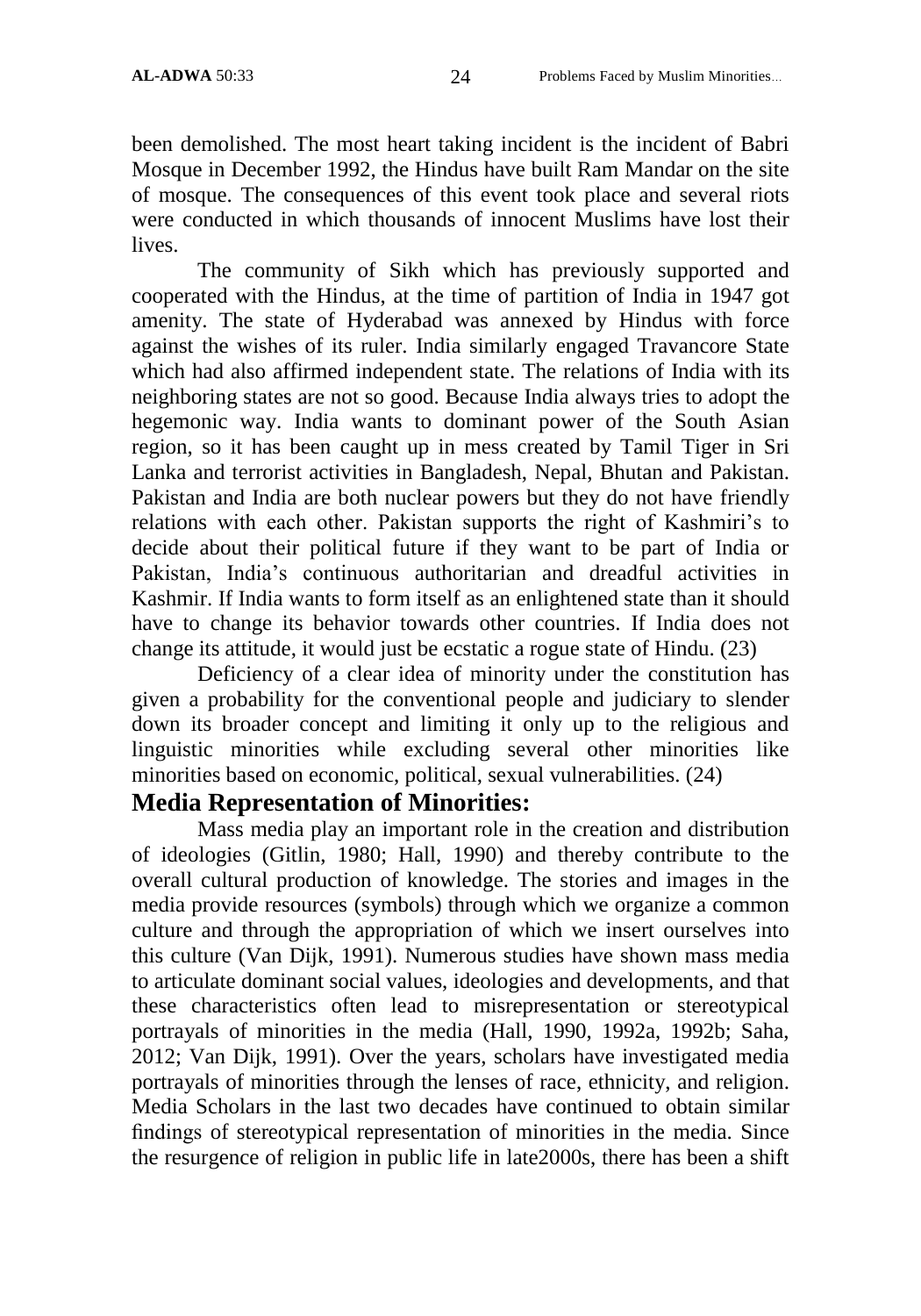been demolished. The most heart taking incident is the incident of Babri Mosque in December 1992, the Hindus have built Ram Mandar on the site of mosque. The consequences of this event took place and several riots were conducted in which thousands of innocent Muslims have lost their lives.

The community of Sikh which has previously supported and cooperated with the Hindus, at the time of partition of India in 1947 got amenity. The state of Hyderabad was annexed by Hindus with force against the wishes of its ruler. India similarly engaged Travancore State which had also affirmed independent state. The relations of India with its neighboring states are not so good. Because India always tries to adopt the hegemonic way. India wants to dominant power of the South Asian region, so it has been caught up in mess created by Tamil Tiger in Sri Lanka and terrorist activities in Bangladesh, Nepal, Bhutan and Pakistan. Pakistan and India are both nuclear powers but they do not have friendly relations with each other. Pakistan supports the right of Kashmiri's to decide about their political future if they want to be part of India or Pakistan, India"s continuous authoritarian and dreadful activities in Kashmir. If India wants to form itself as an enlightened state than it should have to change its behavior towards other countries. If India does not change its attitude, it would just be ecstatic a rogue state of Hindu. (23)

Deficiency of a clear idea of minority under the constitution has given a probability for the conventional people and judiciary to slender down its broader concept and limiting it only up to the religious and linguistic minorities while excluding several other minorities like minorities based on economic, political, sexual vulnerabilities. (24)

## **Media Representation of Minorities:**

Mass media play an important role in the creation and distribution of ideologies (Gitlin, 1980; Hall, 1990) and thereby contribute to the overall cultural production of knowledge. The stories and images in the media provide resources (symbols) through which we organize a common culture and through the appropriation of which we insert ourselves into this culture (Van Dijk, 1991). Numerous studies have shown mass media to articulate dominant social values, ideologies and developments, and that these characteristics often lead to misrepresentation or stereotypical portrayals of minorities in the media (Hall, 1990, 1992a, 1992b; Saha, 2012; Van Dijk, 1991). Over the years, scholars have investigated media portrayals of minorities through the lenses of race, ethnicity, and religion. Media Scholars in the last two decades have continued to obtain similar findings of stereotypical representation of minorities in the media. Since the resurgence of religion in public life in late2000s, there has been a shift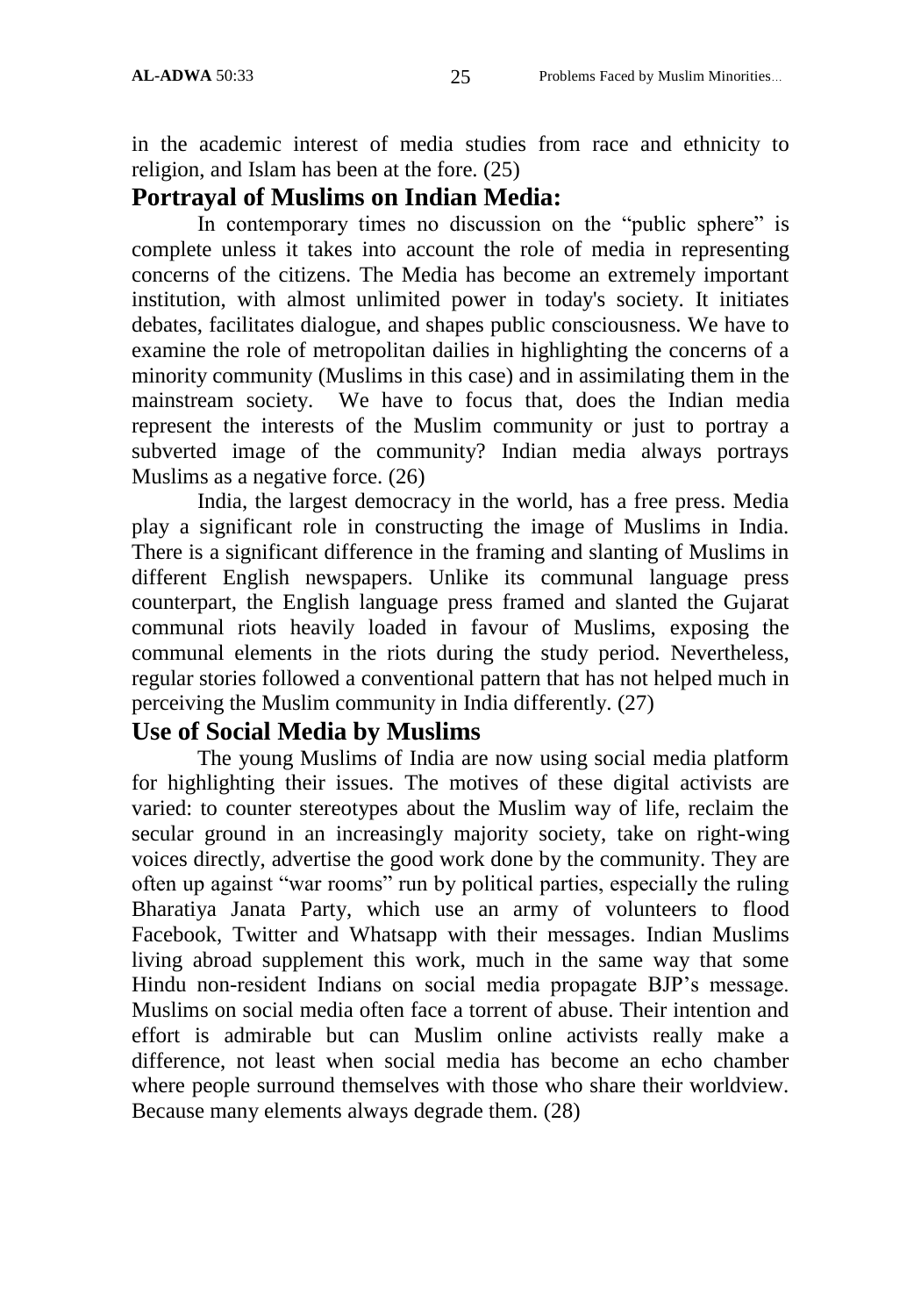in the academic interest of media studies from race and ethnicity to religion, and Islam has been at the fore. (25)

## **Portrayal of Muslims on Indian Media:**

In contemporary times no discussion on the "public sphere" is complete unless it takes into account the role of media in representing concerns of the citizens. The Media has become an extremely important institution, with almost unlimited power in today's society. It initiates debates, facilitates dialogue, and shapes public consciousness. We have to examine the role of metropolitan dailies in highlighting the concerns of a minority community (Muslims in this case) and in assimilating them in the mainstream society. We have to focus that, does the Indian media represent the interests of the Muslim community or just to portray a subverted image of the community? Indian media always portrays Muslims as a negative force. (26)

India, the largest democracy in the world, has a free press. Media play a significant role in constructing the image of Muslims in India. There is a significant difference in the framing and slanting of Muslims in different English newspapers. Unlike its communal language press counterpart, the English language press framed and slanted the Gujarat communal riots heavily loaded in favour of Muslims, exposing the communal elements in the riots during the study period. Nevertheless, regular stories followed a conventional pattern that has not helped much in perceiving the Muslim community in India differently. (27)

## **Use of Social Media by Muslims**

The young Muslims of India are now using social media platform for highlighting their issues. The motives of these digital activists are varied: to counter stereotypes about the Muslim way of life, reclaim the secular ground in an increasingly majority society, take on right-wing voices directly, advertise the good work done by the community. They are often up against "war rooms" run by political parties, especially the ruling Bharatiya Janata Party, which use an army of volunteers to flood Facebook, Twitter and Whatsapp with their messages. Indian Muslims living abroad supplement this work, much in the same way that some Hindu non-resident Indians on social media propagate BJP"s message. Muslims on social media often face a torrent of abuse. Their intention and effort is admirable but can Muslim online activists really make a difference, not least when social media has become an echo chamber where people surround themselves with those who share their worldview. Because many elements always degrade them. (28)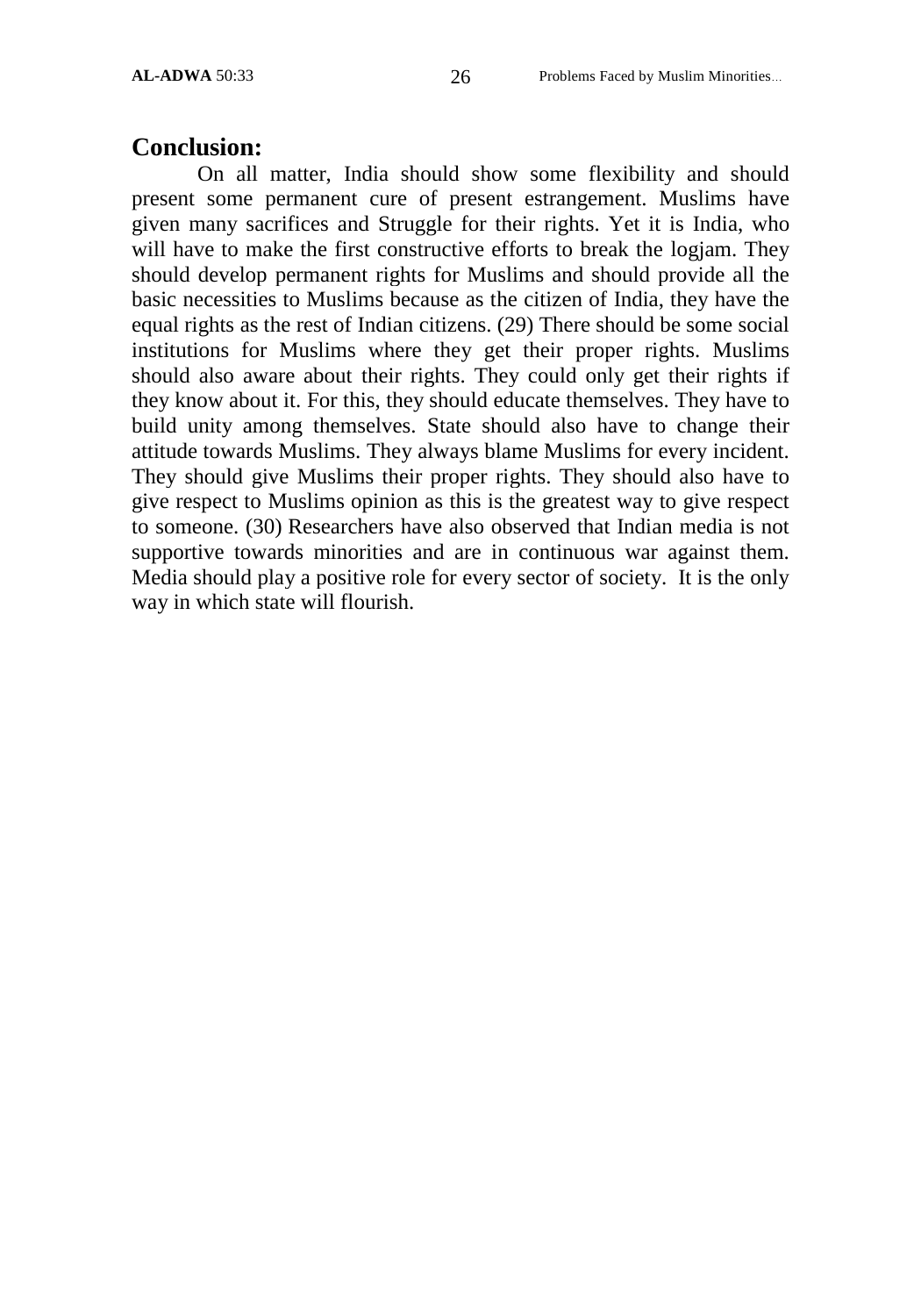#### **Conclusion:**

On all matter, India should show some flexibility and should present some permanent cure of present estrangement. Muslims have given many sacrifices and Struggle for their rights. Yet it is India, who will have to make the first constructive efforts to break the logjam. They should develop permanent rights for Muslims and should provide all the basic necessities to Muslims because as the citizen of India, they have the equal rights as the rest of Indian citizens. (29) There should be some social institutions for Muslims where they get their proper rights. Muslims should also aware about their rights. They could only get their rights if they know about it. For this, they should educate themselves. They have to build unity among themselves. State should also have to change their attitude towards Muslims. They always blame Muslims for every incident. They should give Muslims their proper rights. They should also have to give respect to Muslims opinion as this is the greatest way to give respect to someone. (30) Researchers have also observed that Indian media is not supportive towards minorities and are in continuous war against them. Media should play a positive role for every sector of society. It is the only way in which state will flourish.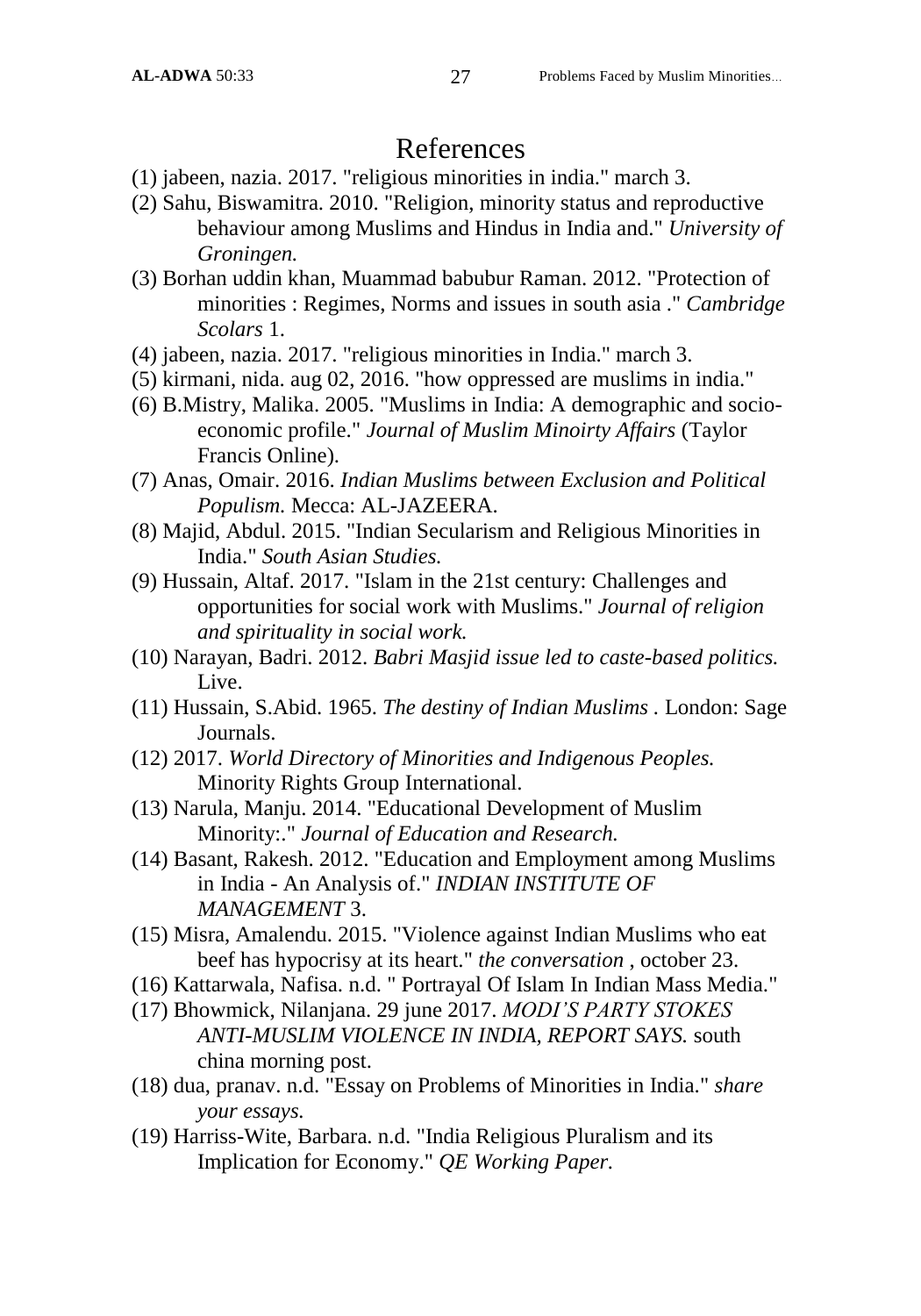## References

- (1) jabeen, nazia. 2017. "religious minorities in india." march 3.
- (2) Sahu, Biswamitra. 2010. "Religion, minority status and reproductive behaviour among Muslims and Hindus in India and." *University of Groningen.*
- (3) Borhan uddin khan, Muammad babubur Raman. 2012. "Protection of minorities : Regimes, Norms and issues in south asia ." *Cambridge Scolars* 1.
- (4) jabeen, nazia. 2017. "religious minorities in India." march 3.
- (5) kirmani, nida. aug 02, 2016. "how oppressed are muslims in india."
- (6) B.Mistry, Malika. 2005. "Muslims in India: A demographic and socioeconomic profile." *Journal of Muslim Minoirty Affairs* (Taylor Francis Online).
- (7) Anas, Omair. 2016. *Indian Muslims between Exclusion and Political Populism.* Mecca: AL-JAZEERA.
- (8) Majid, Abdul. 2015. "Indian Secularism and Religious Minorities in India." *South Asian Studies.*
- (9) Hussain, Altaf. 2017. "Islam in the 21st century: Challenges and opportunities for social work with Muslims." *Journal of religion and spirituality in social work.*
- (10) Narayan, Badri. 2012. *Babri Masjid issue led to caste-based politics.* Live.
- (11) Hussain, S.Abid. 1965. *The destiny of Indian Muslims .* London: Sage Journals.
- (12) 2017. *World Directory of Minorities and Indigenous Peoples.* Minority Rights Group International.
- (13) Narula, Manju. 2014. "Educational Development of Muslim Minority:." *Journal of Education and Research.*
- (14) Basant, Rakesh. 2012. "Education and Employment among Muslims in India - An Analysis of." *INDIAN INSTITUTE OF MANAGEMENT* 3.
- (15) Misra, Amalendu. 2015. "Violence against Indian Muslims who eat beef has hypocrisy at its heart." *the conversation* , october 23.
- (16) Kattarwala, Nafisa. n.d. " Portrayal Of Islam In Indian Mass Media."
- (17) Bhowmick, Nilanjana. 29 june 2017. *MODI'S PARTY STOKES ANTI-MUSLIM VIOLENCE IN INDIA, REPORT SAYS.* south china morning post.
- (18) dua, pranav. n.d. "Essay on Problems of Minorities in India." *share your essays.*
- (19) Harriss-Wite, Barbara. n.d. "India Religious Pluralism and its Implication for Economy." *QE Working Paper.*